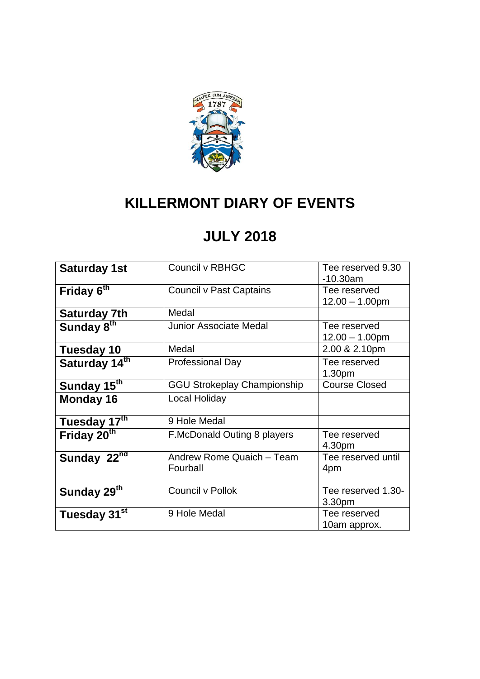

### **KILLERMONT DIARY OF EVENTS**

#### **JULY 2018**

| <b>Saturday 1st</b>      | Council v RBHGC                       | Tee reserved 9.30<br>$-10.30$ am   |
|--------------------------|---------------------------------------|------------------------------------|
| Friday 6 <sup>th</sup>   | <b>Council v Past Captains</b>        | Tee reserved<br>$12.00 - 1.00$ pm  |
| <b>Saturday 7th</b>      | Medal                                 |                                    |
| Sunday 8 <sup>th</sup>   | Junior Associate Medal                | Tee reserved<br>$12.00 - 1.00$ pm  |
| <b>Tuesday 10</b>        | Medal                                 | 2.00 & 2.10pm                      |
| Saturday 14th            | <b>Professional Day</b>               | Tee reserved<br>1.30 <sub>pm</sub> |
| Sunday 15 <sup>th</sup>  | <b>GGU Strokeplay Championship</b>    | <b>Course Closed</b>               |
| Monday 16                | Local Holiday                         |                                    |
| Tuesday 17th             | 9 Hole Medal                          |                                    |
| Friday 20 <sup>th</sup>  | <b>F.McDonald Outing 8 players</b>    | Tee reserved<br>4.30pm             |
| Sunday 22 <sup>nd</sup>  | Andrew Rome Quaich - Team<br>Fourball | Tee reserved until<br>4pm          |
| Sunday 29 <sup>th</sup>  | Council v Pollok                      | Tee reserved 1.30-<br>3.30pm       |
| Tuesday 31 <sup>st</sup> | 9 Hole Medal                          | Tee reserved<br>10am approx.       |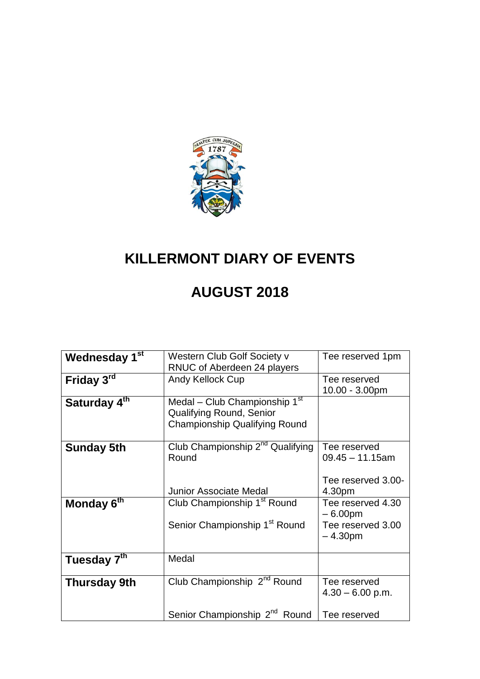

## **KILLERMONT DIARY OF EVENTS**

### **AUGUST 2018**

| Wednesday 1 <sup>st</sup> | Western Club Golf Society v               | Tee reserved 1pm   |
|---------------------------|-------------------------------------------|--------------------|
|                           | RNUC of Aberdeen 24 players               |                    |
| Friday 3rd                | Andy Kellock Cup                          | Tee reserved       |
|                           |                                           | 10.00 - 3.00pm     |
| Saturday 4 <sup>th</sup>  | Medal - Club Championship 1 <sup>st</sup> |                    |
|                           | <b>Qualifying Round, Senior</b>           |                    |
|                           | <b>Championship Qualifying Round</b>      |                    |
|                           |                                           |                    |
| <b>Sunday 5th</b>         | Club Championship $2^{nd}$ Qualifying     | Tee reserved       |
|                           | Round                                     | $09.45 - 11.15$ am |
|                           |                                           |                    |
|                           |                                           | Tee reserved 3.00- |
|                           | <b>Junior Associate Medal</b>             | 4.30pm             |
| Monday 6 <sup>th</sup>    | Club Championship 1 <sup>st</sup> Round   | Tee reserved 4.30  |
|                           |                                           | $-6.00pm$          |
|                           | Senior Championship 1 <sup>st</sup> Round | Tee reserved 3.00  |
|                           |                                           | $-4.30pm$          |
| Tuesday 7 <sup>th</sup>   | Medal                                     |                    |
|                           |                                           |                    |
| <b>Thursday 9th</b>       | Club Championship 2 <sup>nd</sup> Round   | Tee reserved       |
|                           |                                           | $4.30 - 6.00$ p.m. |
|                           |                                           |                    |
|                           | Senior Championship 2 <sup>nd</sup> Round | Tee reserved       |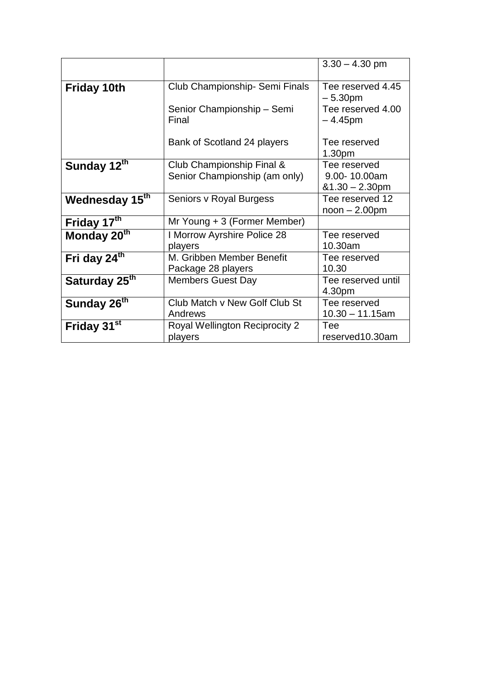|                            |                                | $3.30 - 4.30$ pm   |
|----------------------------|--------------------------------|--------------------|
|                            |                                |                    |
| <b>Friday 10th</b>         | Club Championship- Semi Finals | Tee reserved 4.45  |
|                            |                                | $-5.30pm$          |
|                            | Senior Championship - Semi     | Tee reserved 4.00  |
|                            | Final                          | $-4.45$ pm         |
|                            |                                |                    |
|                            | Bank of Scotland 24 players    | Tee reserved       |
|                            |                                | 1.30 <sub>pm</sub> |
| Sunday 12 <sup>th</sup>    | Club Championship Final &      | Tee reserved       |
|                            | Senior Championship (am only)  | 9.00-10.00am       |
|                            |                                | $&1.30 - 2.30$ pm  |
| Wednesday 15 <sup>th</sup> | Seniors v Royal Burgess        | Tee reserved 12    |
|                            |                                | $noon - 2.00pm$    |
| Friday 17 <sup>th</sup>    | Mr Young + 3 (Former Member)   |                    |
| Monday 20 <sup>th</sup>    | I Morrow Ayrshire Police 28    | Tee reserved       |
|                            | players                        | 10.30am            |
| Fri day 24 <sup>th</sup>   | M. Gribben Member Benefit      | Tee reserved       |
|                            | Package 28 players             | 10.30              |
| Saturday 25 <sup>th</sup>  | <b>Members Guest Day</b>       | Tee reserved until |
|                            |                                | 4.30pm             |
| Sunday 26 <sup>th</sup>    | Club Match v New Golf Club St  | Tee reserved       |
|                            | Andrews                        | $10.30 - 11.15$ am |
| Friday 31 <sup>st</sup>    | Royal Wellington Reciprocity 2 | Tee                |
|                            | players                        | reserved10.30am    |